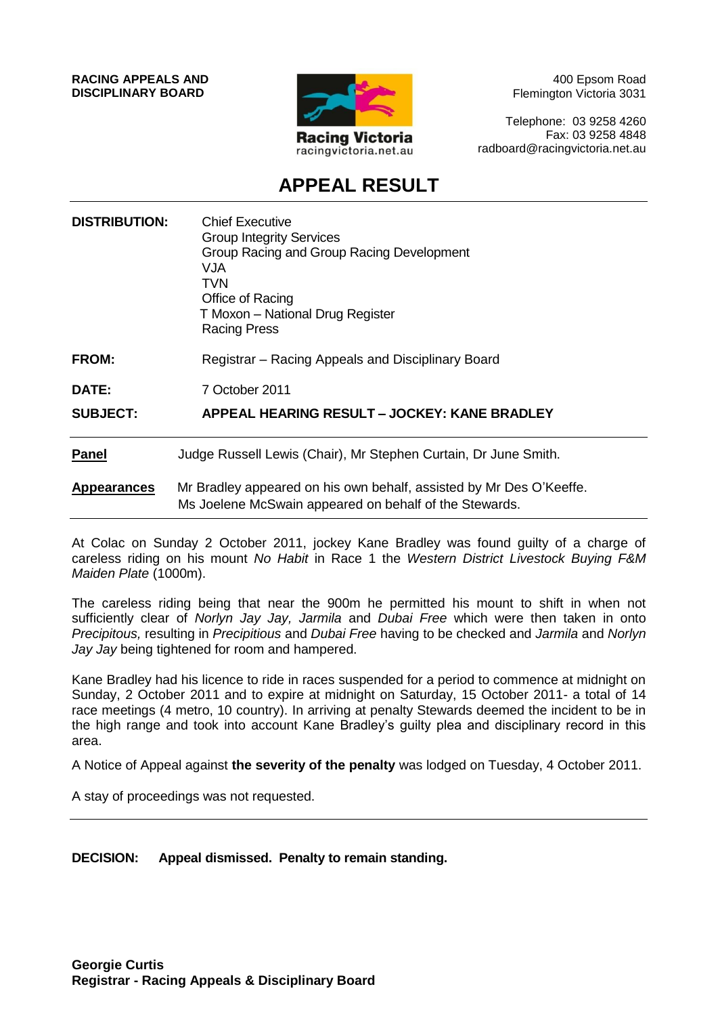**RACING APPEALS AND DISCIPLINARY BOARD**



400 Epsom Road Flemington Victoria 3031

Telephone: 03 9258 4260 Fax: 03 9258 4848 radboard@racingvictoria.net.au

## **APPEAL RESULT**

| <b>DISTRIBUTION:</b> | <b>Chief Executive</b><br><b>Group Integrity Services</b><br>Group Racing and Group Racing Development<br>VJA<br>TVN<br>Office of Racing<br>T Moxon - National Drug Register<br><b>Racing Press</b> |
|----------------------|-----------------------------------------------------------------------------------------------------------------------------------------------------------------------------------------------------|
| <b>FROM:</b>         | Registrar – Racing Appeals and Disciplinary Board                                                                                                                                                   |
| DATE:                | 7 October 2011                                                                                                                                                                                      |
| <b>SUBJECT:</b>      | APPEAL HEARING RESULT - JOCKEY: KANE BRADLEY                                                                                                                                                        |
| <b>Panel</b>         | Judge Russell Lewis (Chair), Mr Stephen Curtain, Dr June Smith.                                                                                                                                     |
| <b>Appearances</b>   | Mr Bradley appeared on his own behalf, assisted by Mr Des O'Keeffe.<br>Ms Joelene McSwain appeared on behalf of the Stewards.                                                                       |

At Colac on Sunday 2 October 2011, jockey Kane Bradley was found guilty of a charge of careless riding on his mount *No Habit* in Race 1 the *Western District Livestock Buying F&M Maiden Plate* (1000m).

The careless riding being that near the 900m he permitted his mount to shift in when not sufficiently clear of *Norlyn Jay Jay, Jarmila* and *Dubai Free* which were then taken in onto *Precipitous,* resulting in *Precipitious* and *Dubai Free* having to be checked and *Jarmila* and *Norlyn Jay Jay* being tightened for room and hampered.

Kane Bradley had his licence to ride in races suspended for a period to commence at midnight on Sunday, 2 October 2011 and to expire at midnight on Saturday, 15 October 2011- a total of 14 race meetings (4 metro, 10 country). In arriving at penalty Stewards deemed the incident to be in the high range and took into account Kane Bradley's guilty plea and disciplinary record in this area.

A Notice of Appeal against **the severity of the penalty** was lodged on Tuesday, 4 October 2011.

A stay of proceedings was not requested.

**DECISION: Appeal dismissed. Penalty to remain standing.**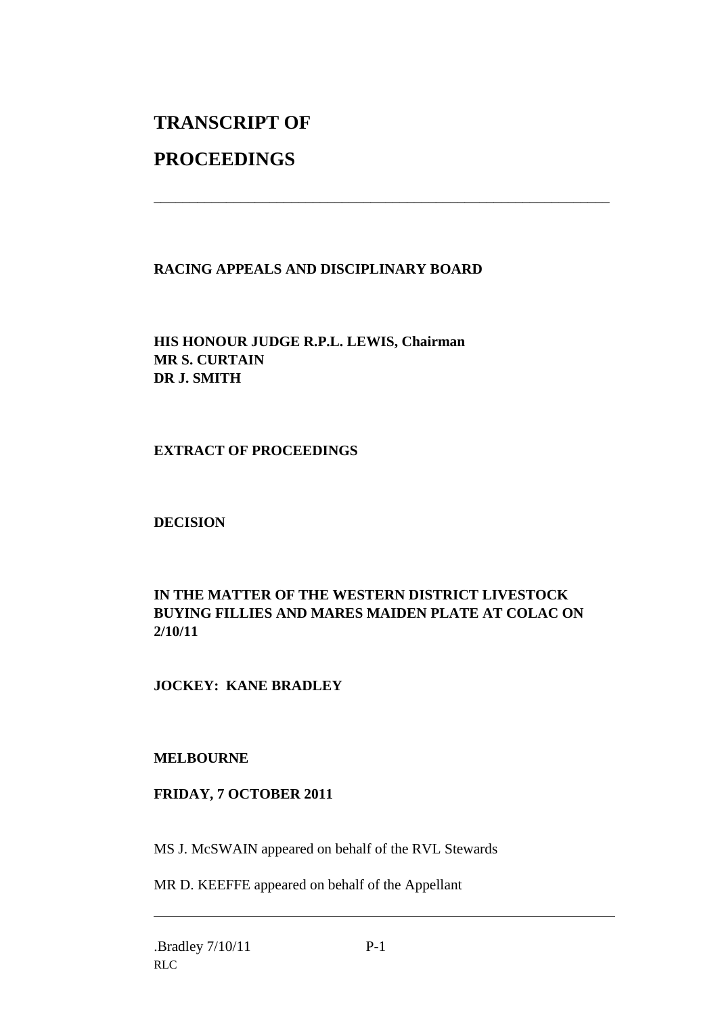# **TRANSCRIPT OF**

## **PROCEEDINGS**

#### **RACING APPEALS AND DISCIPLINARY BOARD**

\_\_\_\_\_\_\_\_\_\_\_\_\_\_\_\_\_\_\_\_\_\_\_\_\_\_\_\_\_\_\_\_\_\_\_\_\_\_\_\_\_\_\_\_\_\_\_\_\_\_\_\_\_\_\_\_\_\_\_\_\_\_\_

**HIS HONOUR JUDGE R.P.L. LEWIS, Chairman MR S. CURTAIN DR J. SMITH**

**EXTRACT OF PROCEEDINGS**

**DECISION**

#### **IN THE MATTER OF THE WESTERN DISTRICT LIVESTOCK BUYING FILLIES AND MARES MAIDEN PLATE AT COLAC ON 2/10/11**

#### **JOCKEY: KANE BRADLEY**

#### **MELBOURNE**

#### **FRIDAY, 7 OCTOBER 2011**

MS J. McSWAIN appeared on behalf of the RVL Stewards

MR D. KEEFFE appeared on behalf of the Appellant